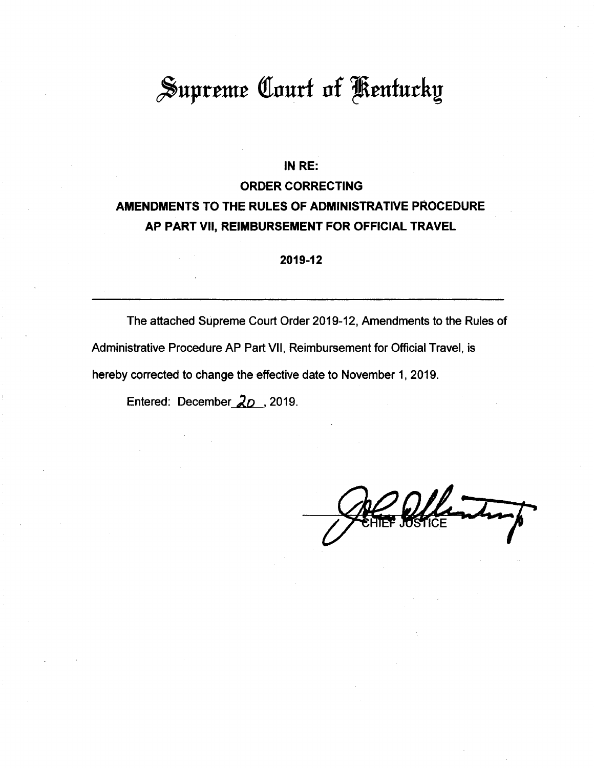# Supreme Court of Kentucky

#### **IN RE:**

# **ORDER CORRECTING AMENDMENTS TO THE RULES OF ADMINISTRATIVE PROCEDURE AP PART VII, REIMBURSEMENT FOR OFFICIAL TRAVEL**

**2019-12**

The attached Supreme Court Order 2019-12, Amendments to the Rules of Administrative Procedure AP Part VII, Reimbursement for Official Travel, is hereby corrected to change the effective date to November 1, 2019.

Entered: December  $20$ , 2019.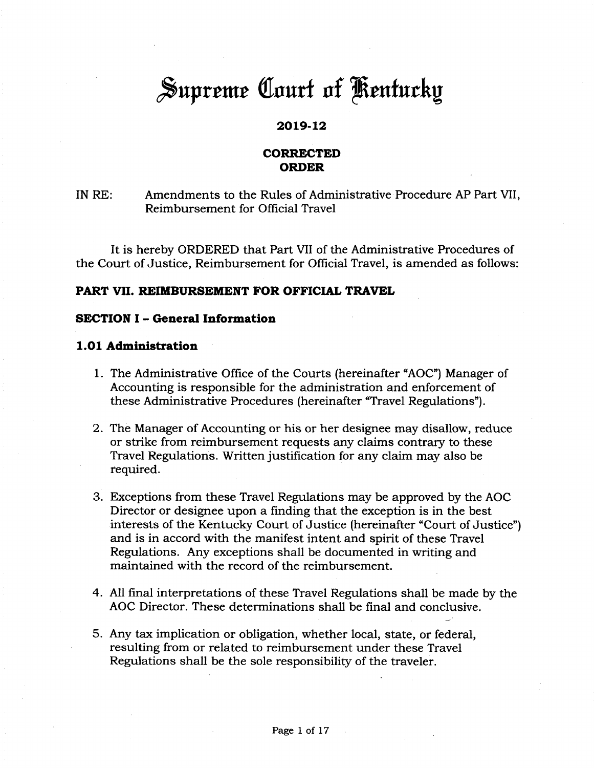# Supreme Court of Kentucky

# **2019-12**

# **CORRECTED ORDER**

# IN RE: Amendments to the Rules of Administrative Procedure AP Part VII, Reimbursement for Official Travel

It is hereby ORDERED that Part VII of the Administrative Procedures of the Court of Justice, Reimbursement for Official Travel, is amended as follows:

#### **PART VII. REIMBURSEMENT FOR OFFICIAL TRAVEL**

#### **SECTION <sup>I</sup> - General Information**

#### **1.01 Administration**

- 1. The Administrative Office of the Courts (hereinafter "AOC") Manager of Accounting is responsible for the administration and enforcement of these Administrative Procedures (hereinafter "Travel Regulations").
- 2. The Manager of Accounting or his or her designee may disallow, reduce or strike from reimbursement requests any claims contrary to these Travel Regulations. Written justification for any claim may also be required.
- 3. Exceptions from these Travel Regulations may be approved by the AOC Director or designee upon a finding that the exception is in the best interests of the Kentucky Court of Justice (hereinafter "Court of Justice") and is in accord with the manifest intent and spirit of these Travel Regulations. Any exceptions shall be documented in writing and maintained with the record of the reimbursement.
- 4. All final interpretations of these Travel Regulations shall be made by the AOC Director. These determinations shall be final and conclusive.
- 5. Any tax implication or obligation, whether local, state, or federal, resulting from or related to reimbursement under these Travel Regulations shall be the sole responsibility of the traveler.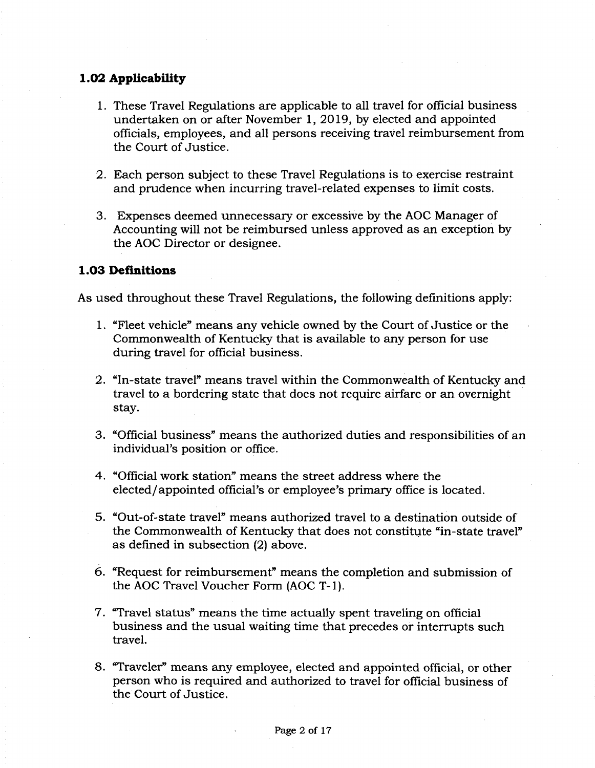# **1.02 Applicability**

- 1. These Travel Regulations are applicable to all travel for official business undertaken on or after November 1, 2019, by elected and appointed officials, employees, and all persons receiving travel reimbursement from the Court of Justice.
- 2. Each person subject to these Travel Regulations is to exercise restraint and prudence when incurring travel-related expenses to limit costs.
- 3. Expenses deemed unnecessary or excessive by the AOC Manager of Accounting will not be reimbursed unless approved as an exception by the AOC Director or designee.

# **1.03 Definitions**

As used throughout these Travel Regulations, the following definitions apply:

- 1. "Fleet vehicle" means any vehicle owned by the Court of Justice or the Commonwealth of Kentucky that is available to any person for use during travel for official business.
- 2. "In-state travel" means travel within the Commonwealth of Kentucky and travel to a bordering state that does not require airfare or an overnight stay.
- 3. "Official business" means the authorized duties and responsibilities of an individual's position or office.
- 4. "Official work station" means the street address where the elected/appointed official's or employee's primary office is located.
- 5. "Out-of-state travel" means authorized travel to a destination outside of the Commonwealth of Kentucky that does not constitute "in-state travel" as defined in subsection (2) above.
- 6. "Request for reimbursement" means the completion and submission of the AOC Travel Voucher Form (AOC T-l).
- 7. "Travel status" means the time actually spent traveling on official business and the usual waiting time that precedes or interrupts such travel.
- 8. "Traveler" means any employee, elected and appointed official, or other person who is required and authorized to travel for official business of the Court of Justice.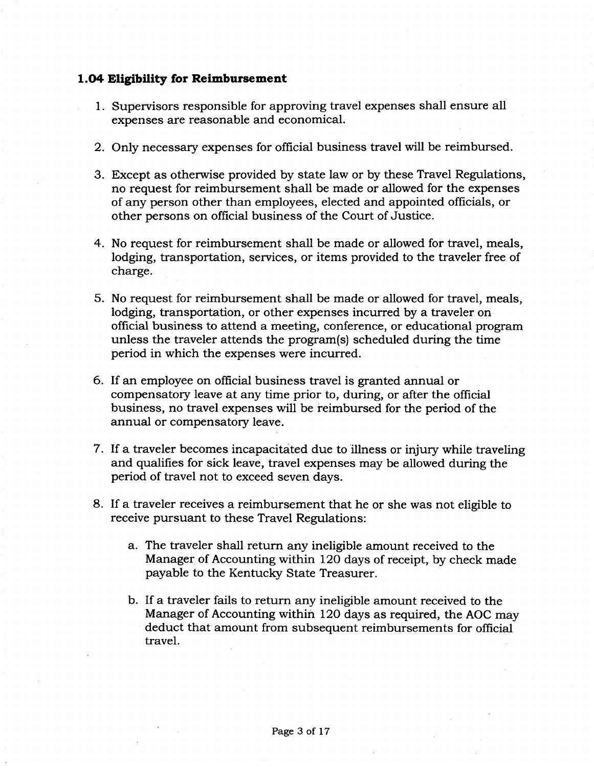# **1.04 Eligibility for Reimbursement**

- 1. Supervisors responsible for approving travel expenses shall ensure all expenses are reasonable and economical.
- 2. Only necessary expenses for official business travel will be reimbursed.
- 3. Except as otherwise provided by state law or by these Travel Regulations, no request for reimbursement shall be made or allowed for the expenses of any person other than employees, elected and appointed officials, or other persons on official business of the Court of Justice.
- 4. No request for reimbursement shall be made or allowed for travel, meals, lodging, transportation, services, or items provided to the traveler free of charge.
- 5. No request for reimbursement shall be made or allowed for travel, meals, lodging, transportation, or other expenses incurred by a traveler on official business to attend a meeting, conference, or educational program unless the traveler attends the program(s) scheduled during the time period in which the expenses were incurred.
- 6. If an employee on official business travel is granted annual or compensatory leave at any time prior to, during, or after the official business, no travel expenses will be reimbursed for the period of the annual or compensatory leave.
- 7. If a traveler becomes incapacitated due to illness or injury while traveling and qualifies for sick leave, travel expenses may be allowed during the period of travel not to exceed seven days.
- 8. If a traveler receives a reimbursement that he or she was not eligible to receive pursuant to these Travel Regulations:
	- a. The traveler shall return any ineligible amount received to the Manager of Accounting within 120 days of receipt, by check made payable to the Kentucky State Treasurer.
	- b. If a traveler fails to return any ineligible amount received to the Manager of Accounting within 120 days as required, the AOC may deduct that amount from subsequent reimbursements for official travel.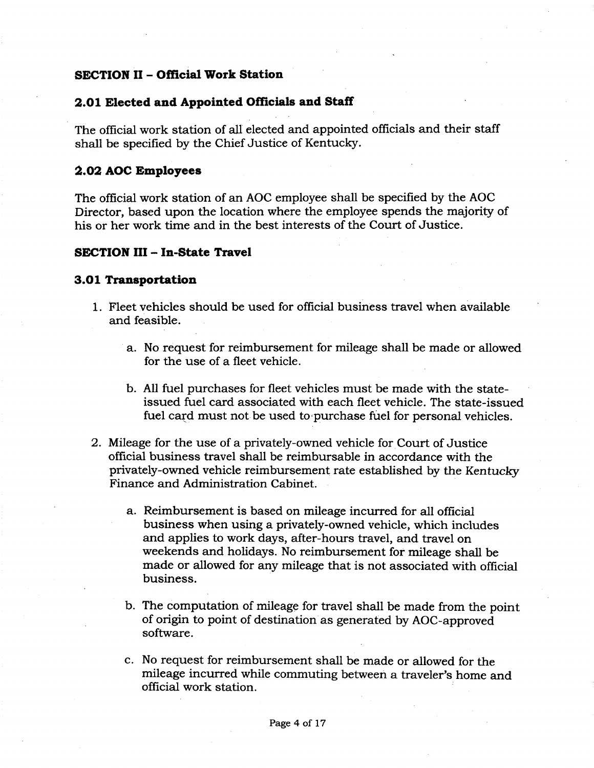# **SECTION II - Official Work Station**

# **2.01 Elected and Appointed Officials and Staff**

The official work station of all elected and appointed officials and their staff shall be specified by the Chief Justice of Kentucky.

## **2.02 AOC Employees**

The official work station of an AOC employee shall be specified by the AOC Director, based upon the location where the employee spends the majority of his or her work time and in the best interests of the Court of Justice.

#### **SECTION III - In-State Travel**

#### **3.01 Transportation**

- 1. Fleet vehicles should be used for official business travel when available and feasible.
	- a. No request for reimbursement for mileage shall be made or allowed for the use of a fleet vehicle.
	- b. All fuel purchases for fleet vehicles must be made with the stateissued fuel card associated with each fleet vehicle. The state-issued fuel card must not be used to purchase fuel for personal vehicles.
- 2. Mileage for the use of a privately-owned vehicle for Court of Justice official business travel shall be reimbursable in accordance with the privately-owned vehicle reimbursement rate established by the Kentucky Finance and Administration Cabinet.
	- a. Reimbursement is based on mileage incurred for all official business when using a privately-owned vehicle, which includes and applies to work days, after-hours travel, and travel on weekends and holidays. No reimbursement for mileage shall be made or allowed for any mileage that is not associated with official business.
	- b. The computation of mileage for travel shall be made from the point of origin to point of destination as generated by AOC-approved software.
	- c. No request for reimbursement shall be made or allowed for the mileage incurred while commuting between a traveler's home and official work station.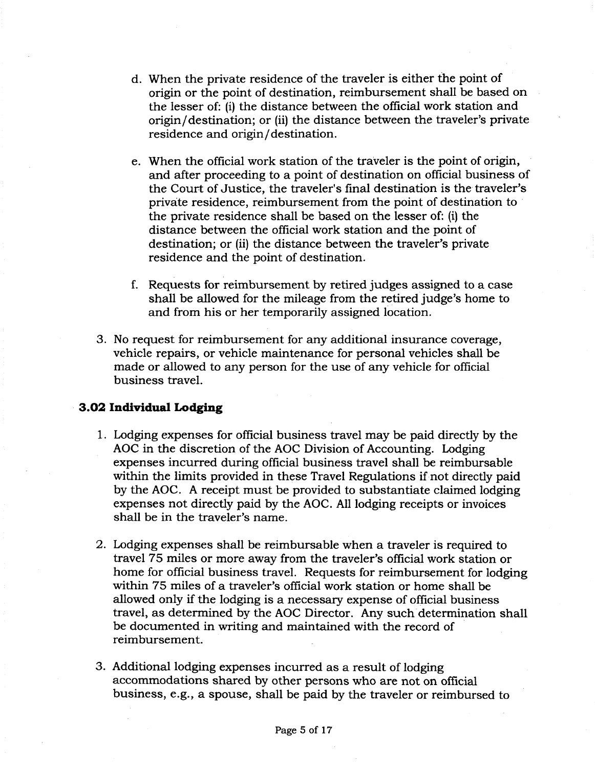- d. When the private residence of the traveler is either the point of origin or the point of destination, reimbursement shall be based on the lesser of: (i) the distance between the official work station and origin/destination; or (ii) the distance between the traveler's private residence and origin/destination.
- e. When the official work station of the traveler is the point of origin, and after proceeding to a point of destination on official business of the Court of Justice, the traveler's final destination is the traveler's private residence, reimbursement from the point of destination to the private residence shall be based on the lesser of: (i) the distance between the official work station and the point of destination; or (ii) the distance between the traveler's private residence and the point of destination.
- f. Requests for reimbursement by retired judges assigned to a case shall be allowed for the mileage from the retired judge's home to and from his or her temporarily assigned location.
- 3. No request for reimbursement for any additional insurance coverage, vehicle repairs, or vehicle maintenance for personal vehicles shall be made or allowed to any person for the use of any vehicle for official business travel.

#### **3.02 Individual Lodging**

- 1. Lodging expenses for official business travel may be paid directly by the AOC in the discretion of the AOC Division of Accounting. Lodging expenses incurred during official business travel shall be reimbursable within the limits provided in these Travel Regulations if not directly paid by the AOC. A receipt must be provided to substantiate claimed lodging expenses not directly paid by the AOC. All lodging receipts or invoices shall be in the traveler's name.
- 2. Lodging expenses shall be reimbursable when a traveler is required to travel 75 miles or more away from the traveler's official work station or home for official business travel. Requests for reimbursement for lodging within 75 miles of a traveler's official work station or home shall be allowed only if the lodging is a necessary expense of official business travel, as determined by the AOC Director. Any such determination shall be documented in writing and maintained with the record of reimbursement.
- 3. Additional lodging expenses incurred as a result of lodging accommodations shared by other persons who are not on official business, e.g., a spouse, shall be paid by the traveler or reimbursed to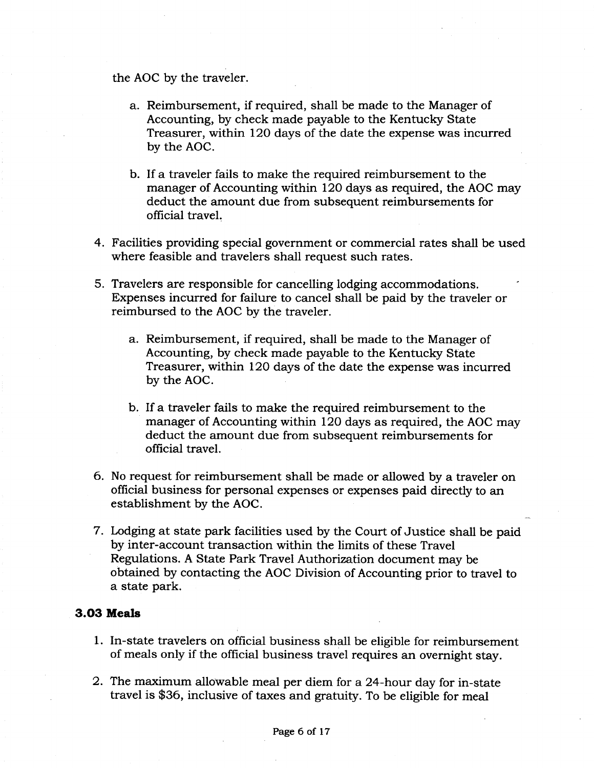the AOC by the traveler.

- a. Reimbursement, if required, shall be made to the Manager of Accounting, by check made payable to the Kentucky State Treasurer, within 120 days of the date the expense was incurred by the AOC.
- b. If a traveler fails to make the required reimbursement to the manager of Accounting within 120 days as required, the AOC may deduct the amount due from subsequent reimbursements for official travel.
- 4. Facilities providing special government or commercial rates shall be used where feasible and travelers shall request such rates.
- 5. Travelers are responsible for cancelling lodging accommodations. Expenses incurred for failure to cancel shall be paid by the traveler or reimbursed to the AOC by the traveler.
	- a. Reimbursement, if required, shall be made to the Manager of Accounting, by check made payable to the Kentucky State Treasurer, within 120 days of the date the expense was incurred by the AOC.
	- b. If a traveler fails to make the required reimbursement to the manager of Accounting within 120 days as required, the AOC may deduct the amount due from subsequent reimbursements for official travel.
- 6. No request for reimbursement shall be made or allowed by a traveler on official business for personal expenses or expenses paid directly to an establishment by the AOC.
- 7. Lodging at state park facilities used by the Court of Justice shall be paid by inter-account transaction within the limits of these Travel Regulations. A State Park Travel Authorization document may be obtained by contacting the AOC Division of Accounting prior to travel to a state park.

#### **3.03 Meals**

- 1. In-state travelers on official business shall be eligible for reimbursement of meals only if the official business travel requires an overnight stay.
- 2. The maximum allowable meal per diem for a 24-hour day for in-state travel is \$36, inclusive of taxes and gratuity. To be eligible for meal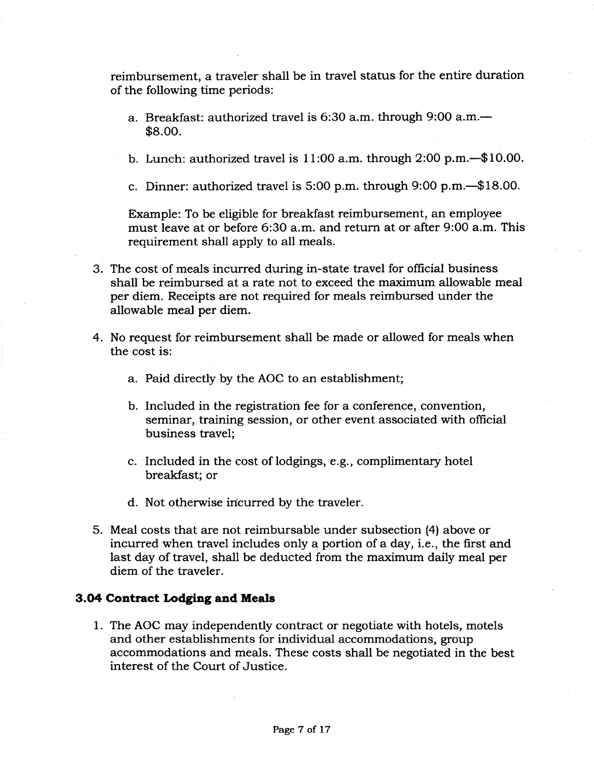reimbursement, a traveler shall be in travel status for the entire duration of the following time periods:

- a. Breakfast: authorized travel is 6:30 a.m. through 9:00 a.m.— \$8.00.
- b. Lunch: authorized travel is 11:00 a.m. through 2:00 p.m.—\$10.00.
- c. Dinner: authorized travel is 5:00 p.m. through 9:00 p.m.—\$18.00.

Example: To be eligible for breakfast reimbursement, an employee must leave at or before 6:30 a.m. and return at or after 9:00 a.m. This requirement shall apply to all meals.

- 3. The cost of meals incurred during in-state travel for official business shall be reimbursed at a rate not to exceed the maximum allowable meal per diem. Receipts are not required for meals reimbursed under the allowable meal per diem.
- 4. No request for reimbursement shall be made or allowed for meals when the cost is:
	- a. Paid directly by the AOC to an establishment;
	- b. Included in the registration fee for a conference, convention, seminar, training session, or other event associated with official business travel;
	- c. Included in the cost of lodgings, e.g., complimentary hotel breakfast; or
	- d. Not otherwise incurred by the traveler.
- 5. Meal costs that are not reimbursable under subsection (4) above or incurred when travel includes only a portion of a day, i.e., the first and last day of travel, shall be deducted from the maximum daily meal per diem of the traveler.

#### **3.04 Contract Lodging and Meals**

1. The AOC may independently contract or negotiate with hotels, motels and other establishments for individual accommodations, group accommodations and meals. These costs shall be negotiated in the best interest of the Court of Justice.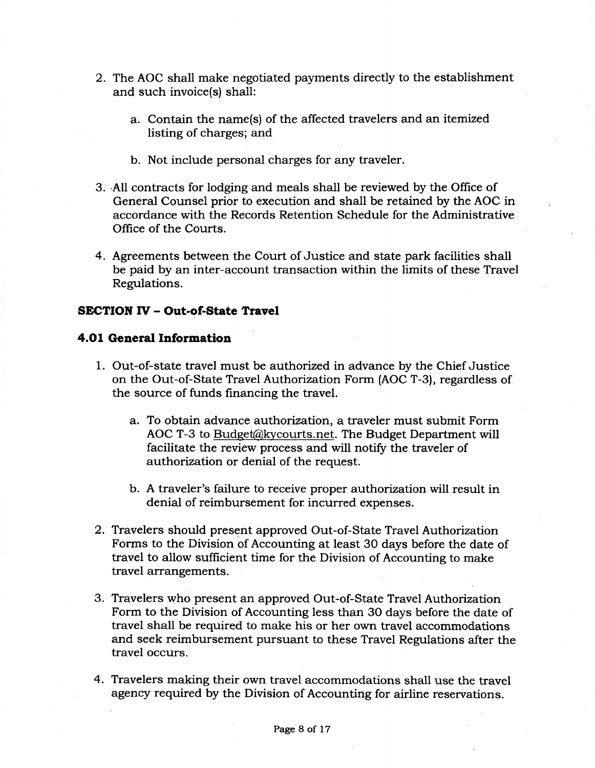- 2. The AOC shall make negotiated payments directly to the establishment and such invoice(s) shall:
	- a. Contain the name(s) of the affected travelers and an itemized listing of charges; and
	- b. Not include personal charges for any traveler.
- 3. All contracts for lodging and meals shall be reviewed by the Office of General Counsel prior to execution and shall be retained by the AOC in accordance with the Records Retention Schedule for the Administrative Office of the Courts.
- 4. Agreements between the Court of Justice and state park facilities shall be paid by an inter-account transaction within the limits of these Travel Regulations.

# **SECTION IV - Out-of-State Travel**

# **4.01 General Information**

- 1. Out-of-state travel must be authorized in advance by the Chief Justice on the Out-of-State Travel Authorization Form (AOC T-3), regardless of the source of funds financing the travel.
	- a. To obtain advance authorization, a traveler must submit Form AOC T-3 to Budget@kycourts.net. The Budget Department will facilitate the review process and will notify the traveler of authorization or denial of the request.
	- b. A traveler's failure to receive proper authorization will result in denial of reimbursement for incurred expenses.
- 2. Travelers should present approved Out-of-State Travel Authorization Forms to the Division of Accounting at least 30 days before the date of travel to allow sufficient time for the Division of Accounting to make travel arrangements.
- 3. Travelers who present an approved Out-of-State Travel Authorization Form to the Division of Accounting less than 30 days before the date of travel shall be required to make his or her own travel accommodations and seek reimbursement pursuant to these Travel Regulations after the travel occurs.
- 4. Travelers making their own travel accommodations shall use the travel agency required by the Division of Accounting for airline reservations.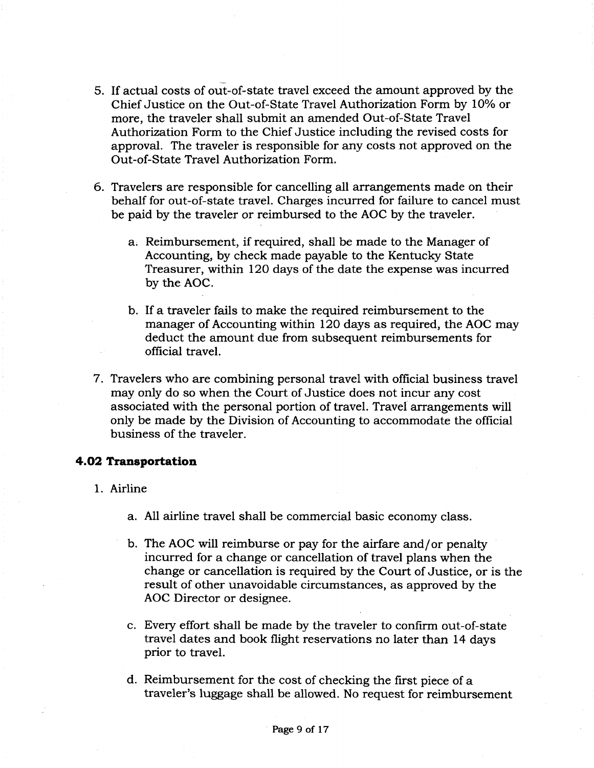- 5. If actual costs of out-of-state travel exceed the amount approved by the Chief Justice on the Out-of-State Travel Authorization Form by 10% or more, the traveler shall submit an amended Out-of-State Travel Authorization Form to the Chief Justice including the revised costs for approval. The traveler is responsible for any costs not approved on the Out-of-State Travel Authorization Form.
- 6. Travelers are responsible for cancelling all arrangements made on their behalf for out-of-state travel. Charges incurred for failure to cancel must be paid by the traveler or reimbursed to the AOC by the traveler.
	- a. Reimbursement, if required, shall be made to the Manager of Accounting, by check made payable to the Kentucky State Treasurer, within 120 days of the date the expense was incurred by the AOC.
	- b. If a traveler fails to make the required reimbursement to the manager of Accounting within 120 days as required, the AOC may deduct the amount due from subsequent reimbursements for official travel.
- 7. Travelers who are combining personal travel with official business travel may only do so when the Court of Justice does not incur any cost associated with the personal portion of travel. Travel arrangements will only be made by the Division of Accounting to accommodate the official business of the traveler.

# **4.02 Transportation**

- 1. Airline
	- a. All airline travel shall be commercial basic economy class.
	- b. The AOC will reimburse or pay for the airfare and/or penalty incurred for a change or cancellation of travel plans when the change or cancellation is required by the Court of Justice, or is the result of other unavoidable circumstances, as approved by the AOC Director or designee.
	- c. Every effort shall be made by the traveler to confirm out-of-state travel dates and book flight reservations no later than 14 days prior to travel.
	- d. Reimbursement for the cost of checking the first piece of a traveler's luggage shall be allowed. No request for reimbursement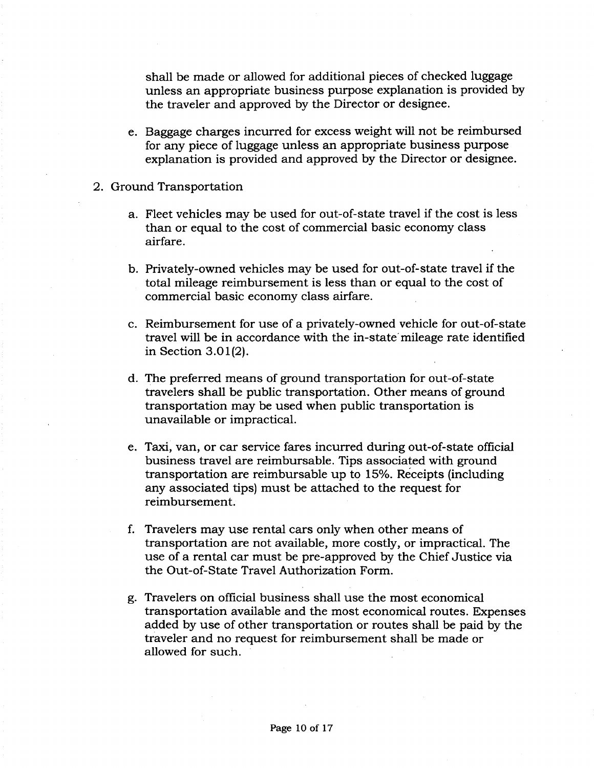shall be made or allowed for additional pieces of checked luggage unless an appropriate business purpose explanation is provided by the traveler and approved by the Director or designee.

- e. Baggage charges incurred for excess weight will not be reimbursed for any piece of luggage unless an appropriate business purpose explanation is provided and approved by the Director or designee.
- 2. Ground Transportation
	- a. Fleet vehicles may be used for out-of-state travel if the cost is less than or equal to the cost of commercial basic economy class airfare.
	- b. Privately-owned vehicles may be used for out-of-state travel if the total mileage reimbursement is less than or equal to the cost of commercial basic economy class airfare.
	- c. Reimbursement for use of a privately-owned vehicle for out-of-state travel will be in accordance with the in-state mileage rate identified in Section 3.01(2).
	- d. The preferred means of ground transportation for out-of-state travelers shall be public transportation. Other means of ground transportation may be used when public transportation is unavailable or impractical.
	- e. Taxi, van, or car service fares incurred during out-of-state official business travel are reimbursable. Tips associated with ground transportation are reimbursable up to 15%. Receipts (including any associated tips) must be attached to the request for reimbursement.
	- f. Travelers may use rental cars only when other means of transportation are not available, more costly, or impractical. The use of a rental car must be pre-approved by the Chief Justice via the Out-of-State Travel Authorization Form.
	- g. Travelers on official business shall use the most economical transportation available and the most economical routes. Expenses added by use of other transportation or routes shall be paid by the traveler and no request for reimbursement shall be made or allowed for such.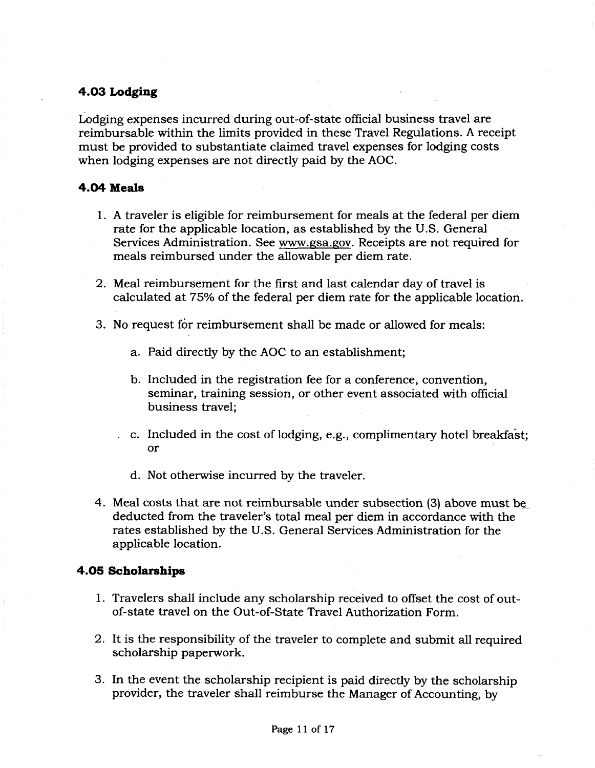# **4.03 Lodging**

Lodging expenses incurred during out-of-state official business travel are reimbursable within the limits provided in these Travel Regulations. A receipt must be provided to substantiate claimed travel expenses for lodging costs when lodging expenses are not directly paid by the AOC.

# **4.04 Meals**

- 1. A traveler is eligible for reimbursement for meals at the federal per diem rate for the applicable location, as established by the U.S. General Services Administration. See www.gsa.gov. Receipts are not required for meals reimbursed under the allowable per diem rate.
- 2. Meal reimbursement for the first and last calendar day of travel is calculated at 75% of the federal per diem rate for the applicable location.
- 3. No request for reimbursement shall be made or allowed for meals:
	- a. Paid directly by the AOC to an establishment;
	- b. Included in the registration fee for a conference, convention, seminar, training session, or other event associated with official business travel;
	- . c. Included in the cost of lodging, e.g., complimentary hotel breakfast; or
		- d. Not otherwise incurred by the traveler.
- 4. Meal costs that are not reimbursable under subsection (3) above must be, deducted from the traveler's total meal per diem in accordance with the rates established by the U.S. General Services Administration for the applicable location.

#### **4.05 Scholarships**

- 1. Travelers shall include any scholarship received to offset the cost of outof-state travel on the Out-of-State Travel Authorization Form.
- 2. It is the responsibility of the traveler to complete and submit all required scholarship paperwork.
- 3. In the event the scholarship recipient is paid directly by the scholarship provider, the traveler shall reimburse the Manager of Accounting, by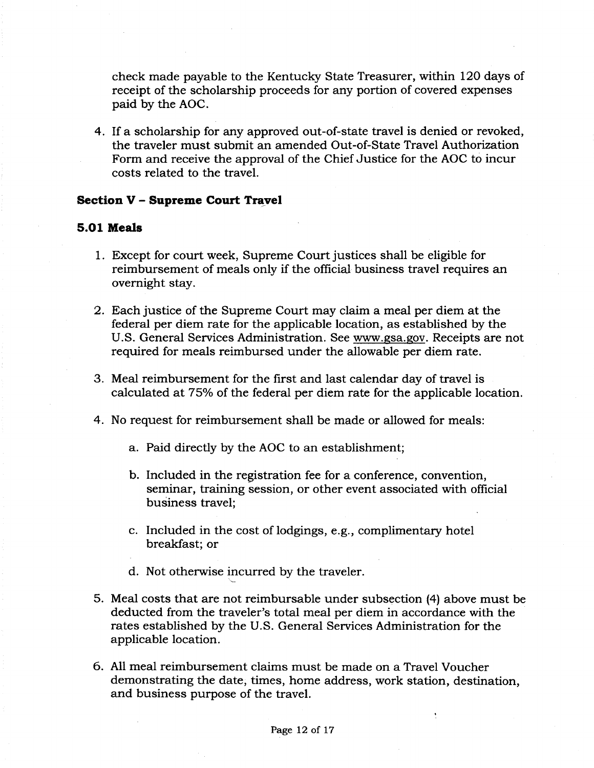check made payable to the Kentucky State Treasurer, within 120 days of receipt of the scholarship proceeds for any portion of covered expenses paid by the AOC.

4. If a scholarship for any approved out-of-state travel is denied or revoked, the traveler must submit an amended Out-of-State Travel Authorization Form and receive the approval of the Chief Justice for the AOC to incur costs related to the travel.

#### **Section <sup>V</sup> - Supreme Court Travel**

#### **5.01 Meals**

- 1. Except for court week, Supreme Court justices shall be eligible for reimbursement of meals only if the official business travel requires an overnight stay.
- 2. Each justice of the Supreme Court may claim a meal per diem at the federal per diem rate for the applicable location, as established by the U.S. General Services Administration. See www.gsa.gov. Receipts are not required for meals reimbursed under the allowable per diem rate.
- 3. Meal reimbursement for the first and last calendar day of travel is calculated at 75% of the federal per diem rate for the applicable location.
- 4. No request for reimbursement shall be made or allowed for meals:
	- a. Paid directly by the AOC to an establishment;
	- b. Included in the registration fee for a conference, convention, seminar, training session, or other event associated with official business travel;
	- c. Included in the cost of lodgings, e.g., complimentary hotel breakfast; or
	- d. Not otherwise incurred by the traveler.
- 5. Meal costs that are not reimbursable under subsection (4) above must be deducted from the traveler's total meal per diem in accordance with the rates established by the U.S. General Services Administration for the applicable location.
- 6. All meal reimbursement claims must be made on a Travel Voucher demonstrating the date, times, home address, work station, destination, and business purpose of the travel.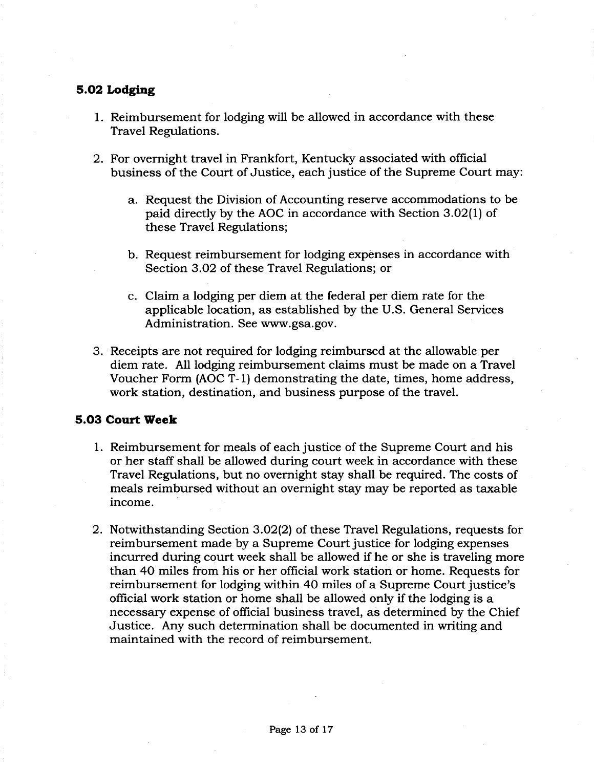# **5.02 Lodging**

- 1. Reimbursement for lodging will be allowed in accordance with these Travel Regulations.
- 2. For overnight travel in Frankfort, Kentucky associated with official business of the Court of Justice, each justice of the Supreme Court may:
	- a. Request the Division of Accounting reserve accommodations to be paid directly by the AOC in accordance with Section 3.02(1) of these Travel Regulations;
	- b. Request reimbursement for lodging expenses in accordance with Section 3.02 of these Travel Regulations; or
	- c. Claim a lodging per diem at the federal per diem rate for the applicable location, as established by the U.S. General Services Administration. See [www.gsa.gov](http://www.gsa.gov).
- 3. Receipts are not required for lodging reimbursed at the allowable per diem rate. All lodging reimbursement claims must be made on a Travel Voucher Form (AOC T-l) demonstrating the date, times, home address, work station, destination, and business purpose of the travel.

# **5.03 Court Week**

- 1. Reimbursement for meals of each justice of the Supreme Court and his or her staff shall be allowed during court week in accordance with these Travel Regulations, but no overnight stay shall be required. The costs of meals reimbursed without an overnight stay may be reported as taxable income.
- 2. Notwithstanding Section 3.02(2) of these Travel Regulations, requests for reimbursement made by a Supreme Court justice for lodging expenses incurred during court week shall be allowed if he or she is traveling more than 40 miles from his or her official work station or home. Requests for reimbursement for lodging within 40 miles of a Supreme Court justice's official work station or home shall be allowed only if the lodging is a necessary expense of official business travel, as determined by the Chief Justice. Any such determination shall be documented in writing and maintained with the record of reimbursement.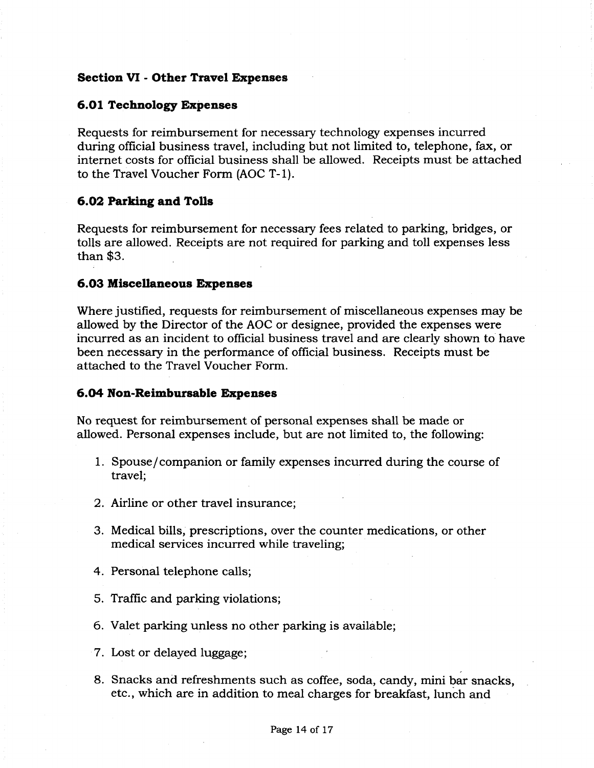#### **Section VI - Other Travel Expenses**

#### **6.01 Technology Expenses**

Requests for reimbursement for necessary technology expenses incurred during official business travel, including but not limited to, telephone, fax, or internet costs for official business shall be allowed. Receipts must be attached to the Travel Voucher Form (AOC T-l).

# **6.02 Parking and Tolls**

Requests for reimbursement for necessary fees related to parking, bridges, or tolls are allowed. Receipts are not required for parking and toll expenses less than \$3.

#### **6.03 Miscellaneous Expenses**

Where justified, requests for reimbursement of miscellaneous expenses may be allowed by the Director of the AOC or designee, provided the expenses were incurred as an incident to official business travel and are clearly shown to have been necessary in the performance of official business. Receipts must be attached to the Travel Voucher Form.

#### **6.04 Non-Reimbursable Expenses**

No request for reimbursement of personal expenses shall be made or allowed. Personal expenses include, but are not limited to, the following:

- 1. Spouse/companion or family expenses incurred during the course of travel;
- 2. Airline or other travel insurance;
- 3. Medical bills, prescriptions, over the counter medications, or other medical services incurred while traveling;
- 4. Personal telephone calls;
- 5. Traffic and parking violations;
- 6. Valet parking unless no other parking is available;
- 7. Lost or delayed luggage;
- 8. Snacks and refreshments such as coffee, soda, candy, mini bar snacks, etc., which are in addition to meal charges for breakfast, lunch and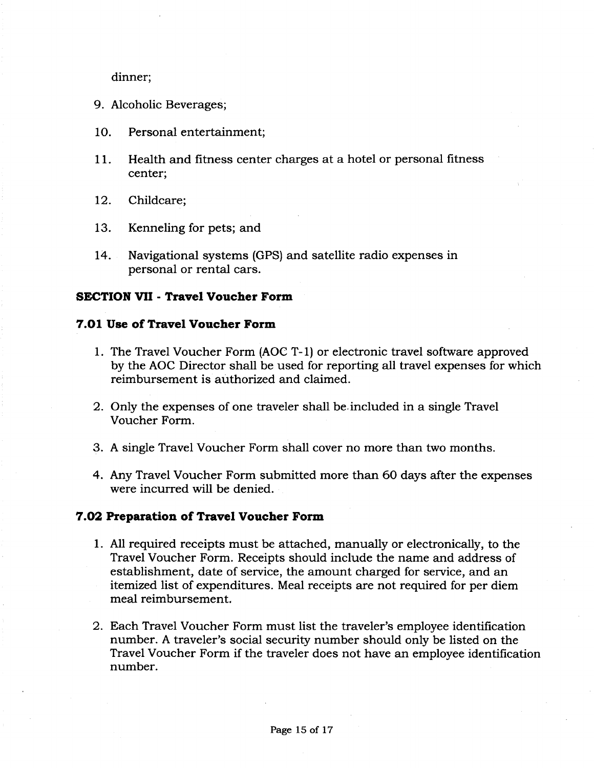dinner;

- 9. Alcoholic Beverages;
- 10. Personal entertainment;
- 11. Health and fitness center charges at a hotel or personal fitness center;
- 12. Childcare;
- 13. Kenneling for pets; and
- 14. Navigational systems (GPS) and satellite radio expenses in personal or rental cars.

# **SECTION VII - Travel Voucher Form**

#### **7.01 Use of Travel Voucher Form**

- 1. The Travel Voucher Form (AOC T-l) or electronic travel software approved by the AOC Director shall be used for reporting all travel expenses for which reimbursement is authorized and claimed.
- 2. Only the expenses of one traveler shall be included in a single Travel Voucher Form.
- 3. A single Travel Voucher Form shall cover no more than two months.
- 4. Any Travel Voucher Form submitted more than 60 days after the expenses were incurred will be denied.

# **7.02 Preparation of Travel Voucher Form**

- 1. All required receipts must be attached, manually or electronically, to the Travel Voucher Form. Receipts should include the name and address of establishment, date of service, the amount charged for service, and an itemized list of expenditures. Meal receipts are not required for per diem meal reimbursement.
- 2. Each Travel Voucher Form must list the traveler's employee identification number. A traveler's social security number should only be listed on the Travel Voucher Form if the traveler does not have an employee identification number.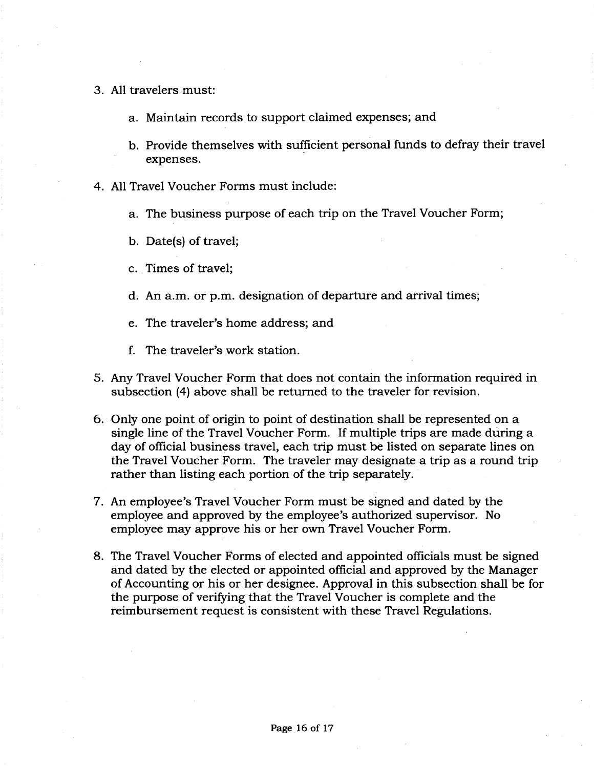- 3. All travelers must:
	- a. Maintain records to support claimed expenses; and
	- b. Provide themselves with sufficient personal funds to defray their travel expenses.
- 4. All Travel Voucher Forms must include:
	- a. The business purpose of each trip on the Travel Voucher Form;
	- b. Date(s) of travel;
	- c. Times of travel;
	- d. An a.m. or p.m. designation of departure and arrival times;
	- e. The traveler's home address; and
	- f. The traveler's work station.
- 5. Any Travel Voucher Form that does not contain the information required in subsection (4) above shall be returned to the traveler for revision.
- 6. Only one point of origin to point of destination shall be represented on a single line of the Travel Voucher Form. If multiple trips are made during a day of official business travel, each trip must be listed on separate lines on the Travel Voucher Form. The traveler may designate a trip as a round trip rather than listing each portion of the trip separately.
- 7. An employee's Travel Voucher Form must be signed and dated by the employee and approved by the employee's authorized supervisor. No employee may approve his or her own Travel Voucher Form.
- 8. The Travel Voucher Forms of elected and appointed officials must be signed and dated by the elected or appointed official and approved by the Manager of Accounting or his or her designee. Approval in this subsection shall be for the purpose of verifying that the Travel Voucher is complete and the reimbursement request is consistent with these Travel Regulations.